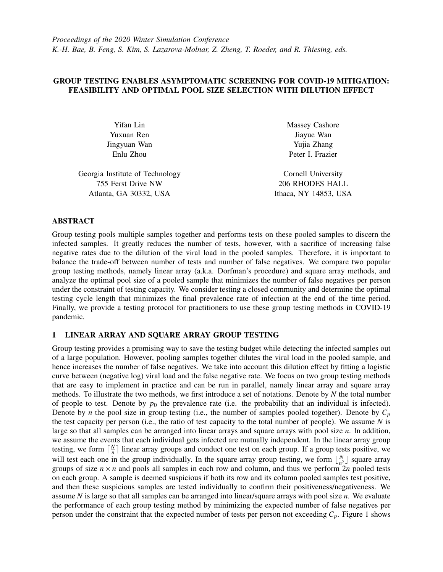## GROUP TESTING ENABLES ASYMPTOMATIC SCREENING FOR COVID-19 MITIGATION: FEASIBILITY AND OPTIMAL POOL SIZE SELECTION WITH DILUTION EFFECT

Yuxuan Ren Jiayue Wan Jingyuan Wan Yujia Zhang

Georgia Institute of Technology Cornell University 755 Ferst Drive NW 206 RHODES HALL Atlanta, GA 30332, USA Ithaca, NY 14853, USA

Yifan Lin Massey Cashore Enlu Zhou Peter I. Frazier

## ABSTRACT

Group testing pools multiple samples together and performs tests on these pooled samples to discern the infected samples. It greatly reduces the number of tests, however, with a sacrifice of increasing false negative rates due to the dilution of the viral load in the pooled samples. Therefore, it is important to balance the trade-off between number of tests and number of false negatives. We compare two popular group testing methods, namely linear array (a.k.a. Dorfman's procedure) and square array methods, and analyze the optimal pool size of a pooled sample that minimizes the number of false negatives per person under the constraint of testing capacity. We consider testing a closed community and determine the optimal testing cycle length that minimizes the final prevalence rate of infection at the end of the time period. Finally, we provide a testing protocol for practitioners to use these group testing methods in COVID-19 pandemic.

## 1 LINEAR ARRAY AND SQUARE ARRAY GROUP TESTING

Group testing provides a promising way to save the testing budget while detecting the infected samples out of a large population. However, pooling samples together dilutes the viral load in the pooled sample, and hence increases the number of false negatives. We take into account this dilution effect by fitting a logistic curve between (negative log) viral load and the false negative rate. We focus on two group testing methods that are easy to implement in practice and can be run in parallel, namely linear array and square array methods. To illustrate the two methods, we first introduce a set of notations. Denote by *N* the total number of people to test. Denote by  $p_0$  the prevalence rate (i.e. the probability that an individual is infected). Denote by *n* the pool size in group testing (i.e., the number of samples pooled together). Denote by  $C_p$ the test capacity per person (i.e., the ratio of test capacity to the total number of people). We assume *N* is large so that all samples can be arranged into linear arrays and square arrays with pool size *n*. In addition, we assume the events that each individual gets infected are mutually independent. In the linear array group testing, we form  $\lceil \frac{N}{n} \rceil$  $\frac{N}{n}$ ] linear array groups and conduct one test on each group. If a group tests positive, we will test each one in the group individually. In the square array group testing, we form  $\lfloor \frac{N}{n^2} \rfloor$  $\frac{N}{n^2}$  square array groups of size  $n \times n$  and pools all samples in each row and column, and thus we perform  $2n$  pooled tests on each group. A sample is deemed suspicious if both its row and its column pooled samples test positive, and then these suspicious samples are tested individually to confirm their positiveness/negativeness. We assume *N* is large so that all samples can be arranged into linear/square arrays with pool size *n*. We evaluate the performance of each group testing method by minimizing the expected number of false negatives per person under the constraint that the expected number of tests per person not exceeding  $C_p$ . Figure [1](#page-1-0) shows